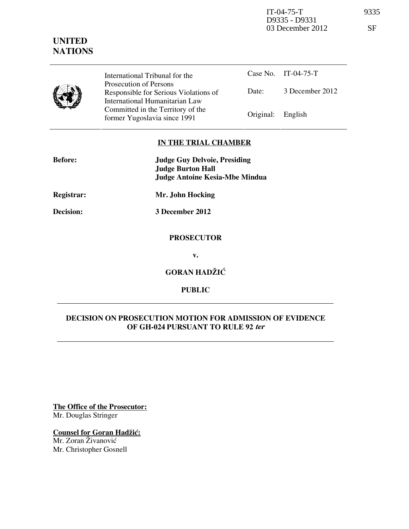IT-04-75-T 9335 D9335 - D9331 03 December 2012 SF

# **UNITED NATIONS**

International Tribunal for the Prosecution of Persons Responsible for Serious Violations of International Humanitarian Law Committed in the Territory of the Former Yugoslavia since 1991 Original: English

Case No. IT-04-75-T Date: 3 December 2012

## **IN THE TRIAL CHAMBER**

| <b>Before:</b> | <b>Judge Guy Delvoie, Presiding</b><br><b>Judge Burton Hall</b><br><b>Judge Antoine Kesia-Mbe Mindua</b> |
|----------------|----------------------------------------------------------------------------------------------------------|
| Registrar:     | Mr. John Hocking                                                                                         |
| Decision:      | 3 December 2012                                                                                          |
|                | <b>PROSECUTOR</b>                                                                                        |
|                | v.                                                                                                       |
|                | <b>GORAN HADŽIĆ</b>                                                                                      |

**PUBLIC** 

# **DECISION ON PROSECUTION MOTION FOR ADMISSION OF EVIDENCE OF GH-024 PURSUANT TO RULE 92 ter**

**The Office of the Prosecutor:** Mr. Douglas Stringer

**Counsel for Goran Hadžić:** 

Mr. Zoran Živanović Mr. Christopher Gosnell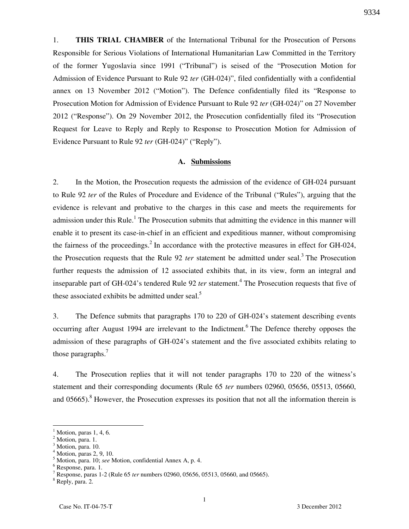1. **THIS TRIAL CHAMBER** of the International Tribunal for the Prosecution of Persons Responsible for Serious Violations of International Humanitarian Law Committed in the Territory of the former Yugoslavia since 1991 ("Tribunal") is seised of the "Prosecution Motion for Admission of Evidence Pursuant to Rule 92 *ter* (GH-024)", filed confidentially with a confidential annex on 13 November 2012 ("Motion"). The Defence confidentially filed its "Response to Prosecution Motion for Admission of Evidence Pursuant to Rule 92 *ter* (GH-024)" on 27 November 2012 ("Response"). On 29 November 2012, the Prosecution confidentially filed its "Prosecution Request for Leave to Reply and Reply to Response to Prosecution Motion for Admission of Evidence Pursuant to Rule 92 *ter* (GH-024)" ("Reply").

#### **A. Submissions**

2. In the Motion, the Prosecution requests the admission of the evidence of GH-024 pursuant to Rule 92 *ter* of the Rules of Procedure and Evidence of the Tribunal ("Rules"), arguing that the evidence is relevant and probative to the charges in this case and meets the requirements for admission under this Rule.<sup>1</sup> The Prosecution submits that admitting the evidence in this manner will enable it to present its case-in-chief in an efficient and expeditious manner, without compromising the fairness of the proceedings.<sup>2</sup> In accordance with the protective measures in effect for GH-024, the Prosecution requests that the Rule 92 *ter* statement be admitted under seal.<sup>3</sup> The Prosecution further requests the admission of 12 associated exhibits that, in its view, form an integral and inseparable part of GH-024's tendered Rule 92 *ter* statement.<sup>4</sup> The Prosecution requests that five of these associated exhibits be admitted under seal. $5$ 

3. The Defence submits that paragraphs 170 to 220 of GH-024's statement describing events occurring after August 1994 are irrelevant to the Indictment.<sup>6</sup> The Defence thereby opposes the admission of these paragraphs of GH-024's statement and the five associated exhibits relating to those paragraphs.<sup>7</sup>

4. The Prosecution replies that it will not tender paragraphs 170 to 220 of the witness's statement and their corresponding documents (Rule 65 *ter* numbers 02960, 05656, 05513, 05660, and 05665).<sup>8</sup> However, the Prosecution expresses its position that not all the information therein is

 $\overline{a}$ 

<sup>1</sup> Motion, paras 1, 4, 6.

<sup>2</sup> Motion, para. 1.

<sup>3</sup> Motion, para. 10. 4

Motion, paras 2, 9, 10.

<sup>5</sup> Motion, para. 10; *see* Motion, confidential Annex A, p. 4.

<sup>6</sup> Response, para. 1.

<sup>7</sup> Response, paras 1-2 (Rule 65 *ter* numbers 02960, 05656, 05513, 05660, and 05665).

<sup>8</sup> Reply, para. 2.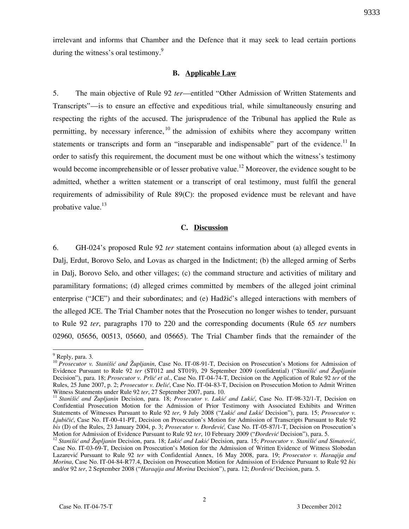irrelevant and informs that Chamber and the Defence that it may seek to lead certain portions during the witness's oral testimony. $9$ 

#### **B. Applicable Law**

5. The main objective of Rule 92 *ter*—entitled "Other Admission of Written Statements and Transcripts"—is to ensure an effective and expeditious trial, while simultaneously ensuring and respecting the rights of the accused. The jurisprudence of the Tribunal has applied the Rule as permitting, by necessary inference,  $^{10}$  the admission of exhibits where they accompany written statements or transcripts and form an "inseparable and indispensable" part of the evidence.<sup>11</sup> In order to satisfy this requirement, the document must be one without which the witness's testimony would become incomprehensible or of lesser probative value.<sup>12</sup> Moreover, the evidence sought to be admitted, whether a written statement or a transcript of oral testimony, must fulfil the general requirements of admissibility of Rule 89(C): the proposed evidence must be relevant and have probative value. $^{13}$ 

### **C. Discussion**

6. GH-024's proposed Rule 92 *ter* statement contains information about (a) alleged events in Dalj, Erdut, Borovo Selo, and Lovas as charged in the Indictment; (b) the alleged arming of Serbs in Dalj, Borovo Selo, and other villages; (c) the command structure and activities of military and paramilitary formations; (d) alleged crimes committed by members of the alleged joint criminal enterprise ("JCE") and their subordinates; and (e) Hadžić's alleged interactions with members of the alleged JCE. The Trial Chamber notes that the Prosecution no longer wishes to tender, pursuant to Rule 92 *ter*, paragraphs 170 to 220 and the corresponding documents (Rule 65 *ter* numbers 02960, 05656, 00513, 05660, and 05665). The Trial Chamber finds that the remainder of the

 $\overline{a}$ 

<sup>&</sup>lt;sup>9</sup> Reply, para. 3.

<sup>&</sup>lt;sup>10</sup> Prosecutor v. Stanišić and Župljanin, Case No. IT-08-91-T, Decision on Prosecution's Motions for Admission of Evidence Pursuant to Rule 92 *ter* (ST012 and ST019), 29 September 2009 (confidential) ("*Stanišić and Župljanin* Decision"), para. 18; *Prosecutor v. Prlić et al.*, Case No. IT-04-74-T, Decision on the Application of Rule 92 *ter* of the Rules, 25 June 2007, p. 2; *Prosecutor v. Delić*, Case No. IT-04-83-T, Decision on Prosecution Motion to Admit Written Witness Statements under Rule 92 *ter*, 27 September 2007, para. 10.

<sup>&</sup>lt;sup>11</sup> Stanišić and Župljanin Decision, para. 18; Prosecutor v. Lukić and Lukić, Case No. IT-98-32/1-T, Decision on Confidential Prosecution Motion for the Admission of Prior Testimony with Associated Exhibits and Written Statements of Witnesses Pursuant to Rule 92 *ter*, 9 July 2008 ("Lukić and Lukić Decision"), para. 15; *Prosecutor v. Ljubičić*, Case No. IT-00-41-PT, Decision on Prosecution's Motion for Admission of Transcripts Pursuant to Rule 92 *bis* (D) of the Rules, 23 January 2004, p. 3; *Prosecutor v. Đorđević*, Case No. IT-05-87/1-T, Decision on Prosecution's Motion for Admission of Evidence Pursuant to Rule 92 *ter*, 10 February 2009 ("*Đorđević* Decision"), para. 5.

<sup>&</sup>lt;sup>12</sup> Stanišić and Župlianin Decision, para. 18; Lukić and Lukić Decision, para. 15; Prosecutor v. Stanišić and Simatović, Case No. IT-03-69-T, Decision on Prosecution's Motion for the Admission of Written Evidence of Witness Slobodan Lazarevi} Pursuant to Rule 92 *ter* with Confidential Annex, 16 May 2008, para. 19; *Prosecutor v. Haraqija and Morina*, Case No. IT-04-84-R77.4, Decision on Prosecution Motion for Admission of Evidence Pursuant to Rule 92 *bis* and/or 92 *ter*, 2 September 2008 ("*Haraqija and Morina* Decision"), para. 12; *Đorđević* Decision, para. 5.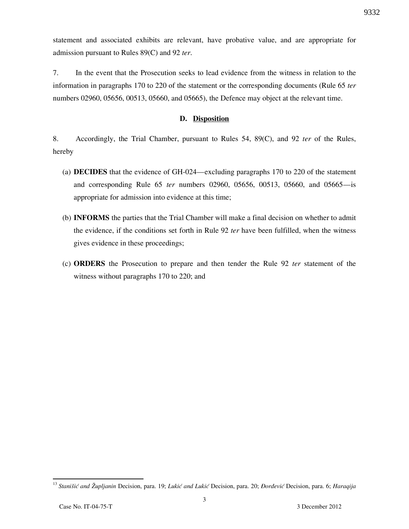statement and associated exhibits are relevant, have probative value, and are appropriate for admission pursuant to Rules 89(C) and 92 *ter*.

7. In the event that the Prosecution seeks to lead evidence from the witness in relation to the information in paragraphs 170 to 220 of the statement or the corresponding documents (Rule 65 *ter* numbers 02960, 05656, 00513, 05660, and 05665), the Defence may object at the relevant time.

#### **D. Disposition**

8. Accordingly, the Trial Chamber, pursuant to Rules 54, 89(C), and 92 *ter* of the Rules, hereby

- (a) **DECIDES** that the evidence of GH-024—excluding paragraphs 170 to 220 of the statement and corresponding Rule 65 *ter* numbers 02960, 05656, 00513, 05660, and 05665—is appropriate for admission into evidence at this time;
- (b) **INFORMS** the parties that the Trial Chamber will make a final decision on whether to admit the evidence, if the conditions set forth in Rule 92 *ter* have been fulfilled, when the witness gives evidence in these proceedings;
- (c) **ORDERS** the Prosecution to prepare and then tender the Rule 92 *ter* statement of the witness without paragraphs 170 to 220; and

 $\overline{a}$ 

<sup>&</sup>lt;sup>13</sup> Stanišić and Župljanin Decision, para. 19; Lukić and Lukić Decision, para. 20; *Đorđević* Decision, para. 6; *Haraqija*